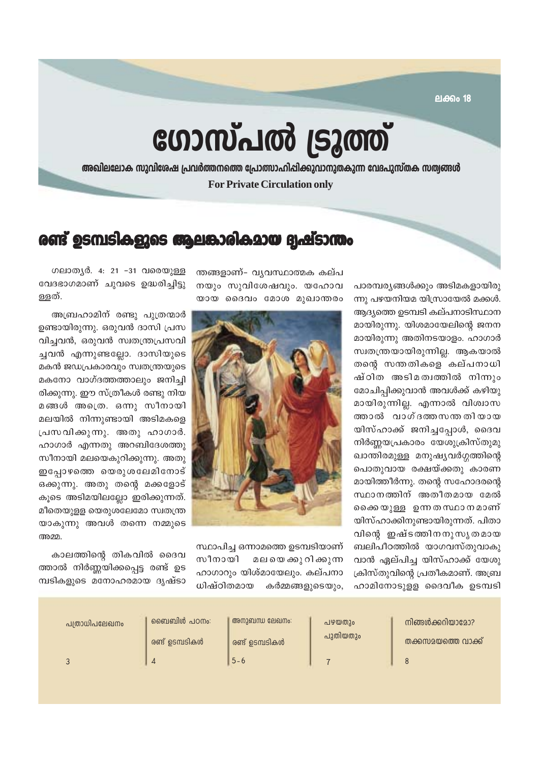**ലക്കം 18** 

# ഗോസ്പൽ ട്രൂത്ത്

അഖിലലോക സുവിശേഷ പ്രവർത്തനത്തെ പ്രോത്സാഹിപ്പിക്കുവാനുതകുന്ന വേദപുസ്തക സത്വങ്ങൾ **For Private Circulation only** 

### രണ്ട് ഉടമ്പടികളുടെ ആലങ്കാരികമായ ദ്വഷ്ടാന്തം

പാരമ്പര്യങ്ങൾക്കും അടിമകളായിരു ന്നു പഴയനിയമ യിസ്രായേൽ മക്കൾ. ആദ്യത്തെ ഉടമ്പടി കല്പനാടിസ്ഥാന മായിരുന്നു. യിശമായേലിൻെ ജനന മായിരുന്നു അതിനടയാളം. ഹാഗാർ സ്വതന്ത്രയായിരുന്നില്ല. ആകയാൽ തന്റെ സന്തതികളെ കല്പനാധി ഷ്ഠിത അടിമത്വത്തിൽ നിന്നും മോചിപ്പിക്കുവാൻ അവൾക്ക് കഴിയു മായിരുന്നില്ല. എന്നാൽ വിശ്വാസ ത്താൽ വാഗ്ദത്തസന്തതിയായ യിസ്ഹാക്ക് ജനിച്ചപ്പോൾ, ദൈവ നിർണ്ണയപ്രകാരം യേശുക്രിസ്തുമു ഖാന്തിരമുള്ള മനുഷ്യവർഗ്ഗത്തിന്റെ പൊതുവായ രക്ഷയ്ക്കതു കാരണ മായിത്തീർന്നു. തന്റെ സഹോദരന്റെ സ്ഥാനത്തിന് അതീതമായ മേൽ കൈയുള്ള ഉന്നതസ്ഥാനമാണ് യിസ്ഹാക്കിനുണ്ടായിരുന്നത്. പിതാ വിന്റെ ഇഷ്ടത്തിനനുസൃതമായ ബലിപീഠത്തിൽ യാഗവസ്തുവാകു വാൻ ഏല്പിച്ച യിസ്ഹാക്ക് യേശു ക്രിസ്തുവിന്റെ പ്രതീകമാണ്. അബ്ര ഹാമിനോടുള്ള ദൈവീക ഉടമ്പടി

ന്തങ്ങളാണ്- വ്യവസ്ഥാത്മക കല്പ നയും സുവിശേഷവും. യഹോവ യായ ദൈവം മോശ മുഖാന്തരം



സ്ഥാപിച്ച ഒന്നാമത്തെ ഉടമ്പടിയാണ് സീനായി മലയെ ക്കു റി ക്കുന്ന ഹാഗാറും യിശ്മായേലും. കല്പനാ ധിഷ്ഠിതമായ കർമ്മങ്ങളുടെയും,

ഗലാതൃർ. 4: 21 -31 വരെയുള്ള വേദഭാഗമാണ് ചുവടെ ഉദ്ധരിച്ചിട്ടു ള്ളത്.

അബ്രഹാമിന് രണ്ടു പുത്രന്മാർ ഉണ്ടായിരുന്നു. ഒരുവൻ ദാസി പ്രസ വിച്ചവൻ, ഒരുവൻ സ്വതന്ത്രപ്രസവി ച്ചവൻ എന്നുണ്ടല്ലോ. ദാസിയുടെ മകൻ ജഡപ്രകാരവും സ്വതന്ത്രയുടെ മകനോ വാഗ്ദത്തത്താലും ജനിച്ചി രിക്കുന്നു. ഈ സ്ത്രീകൾ രണ്ടു നിയ മങ്ങൾ അത്രെ. ഒന്നു സീനായി മലയിൽ നിന്നുണ്ടായി അടിമകളെ പ്രസവിക്കുന്നു. അതു ഹാഗാർ. ഹാഗാർ എന്നതു അറബിദേശത്തു സീനായി മലയെകുറിക്കുന്നു. അതു ഇപോഴത്തെ യെരുശലേമിനോട് ഒക്കുന്നു. അതു തന്റെ മക്കളോട് കൂടെ അടിമയിലല്ലോ ഇരിക്കുന്നത്. മീതെയുളള യെരുശലേമോ സ്വതന്ത്ര യാകുന്നു അവൾ തന്നെ നമ്മുടെ അമ്മ

കാലത്തിന്റെ തികവിൽ ദൈവ ത്താൽ നിർണ്ണയിക്കപ്പെട്ട രണ്ട് ഉട മ്പടികളുടെ മനോഹരമായ ദൃഷ്ടാ

| പത്രാധിപലേഖനം | `ബൈബിൾ പഠനം:    | അനുബന്ധ ലേഖനം:  | പഴയതും   | നിങ്ങൾക്കറിയാമോ?   |
|---------------|-----------------|-----------------|----------|--------------------|
|               | രണ്ട് ഉടമ്പടികൾ | രണ്ട് ഉടമ്പടികൾ | പുതിയതും | തക്കസമയത്തെ വാക്ക് |
|               |                 | $5 - 6$         |          |                    |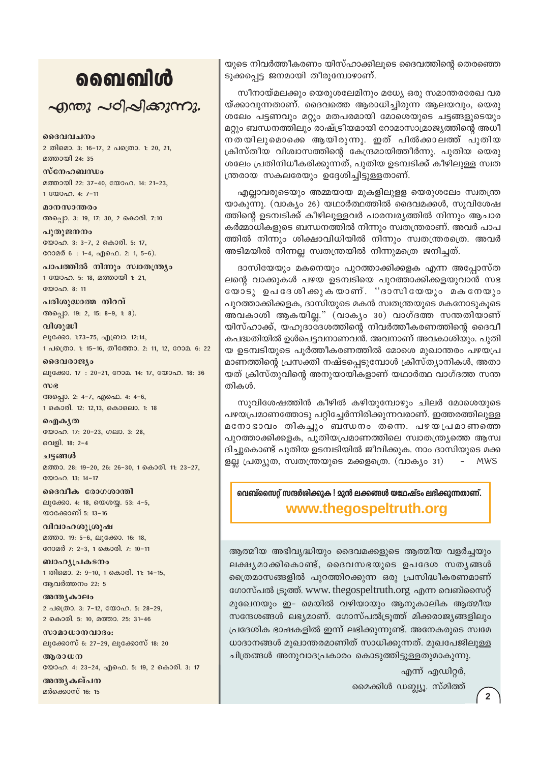## வைவிൾ

 $\sim$ ฏ พญ  $\sim$ อา $\sim$ ฏ ส่วนตาม

ദൈവവചനം 2 തിമൊ. 3: 16-17, 2 പത്രൊ. 1: 20, 21, മത്തായി 24-35

സ്നേഹബന്ധം മത്തായി 22: 37-40, യോഹ. 14: 21-23, 1 WOOD. 4: 7-11

മാനസാന്തരം അപ്പൊ. 3: 19, 17: 30, 2 കൊരി. 7:10 പുതുജനനം

യോഹ. 3: 3-7, 2 കൊരി. 5: 17, റോമർ 6: 1-4, എഫെ. 2: 1, 5-6).

പാപത്തിൽ നിന്നും സ്വാതന്ത്ര്യം 1 യോഹ. 5: 18, മത്തായി 1: 21,  $2000000811$ 

പരിശുദ്ധാത്മ നിറവ് അപ്പൊ. 19: 2, 15: 8-9, 1: 8).

വിശുദ്ധി ലൂക്കോ. 1:73-75, എബ്രാ. 12:14, 1 പക്രൊ. 1: 15-16, തീത്തോ. 2: 11, 12, റോമ. 6: 22

ദൈവരാജ്യം ലൂക്കോ. 17: 20-21, റോമ. 14: 17, യോഹ. 18: 36  $m$ ) $e$ അപ്പൊ. 2: 4-7, എഫെ. 4: 4-6, 1 കൊരി. 12: 12.13, കൊലൊ. 1: 18

வெிக்கு യോഹ. 17: 20-23, ഗലാ. 3: 28, വെളി. 18: 2-4

ചട്ടങ്ങൾ മത്താ. 28: 19-20, 26: 26-30, 1 കൊരി. 11: 23-27, യോഹ. 13: 14-17

ദൈവീക രോഗശാന്തി ലൂക്കോ. 4: 18, യെശയ്യ. 53: 4-5, യാക്കോബ് 5: 13-16

വിവാഹശുശ്രൂഷ മത്താ. 19: 5-6, ലൂക്കോ. 16: 18, റോമർ 7: 2-3, 1 കൊരി. 7: 10-11

ബാഹ്യപ്രകടനം 1 തിമൊ. 2: 9-10, 1 കൊരി. 11: 14-15, ആവർത്തനം 22: 5

അന്ത്യകാലം 2 പത്രൊ. 3: 7-12, യോഹ. 5: 28-29, 2 കൊരി. 5: 10, മത്താ. 25: 31-46

സാമാധാനവാദം: ലൂക്കോസ് 6: 27-29, ലൂക്കോസ് 18: 20

ആരാധന യോഹ. 4: 23-24, എഫെ. 5: 19, 2 കൊരി. 3: 17

അന്ത്യകല്പന മർക്കൊസ് 16: 15

യുടെ നിവർത്തീകരണം യിസ്ഹാക്കിലൂടെ ദൈവത്തിന്റെ തെരഞ്ഞെ ടുക്കപ്പെട്ട ജനമായി തീരുമ്പോഴാണ്.

സീനായ്മലക്കും യെരുശലേമിനും മധ്യേ ഒരു സമാന്തരരേഖ വര യ്ക്കാവുന്നതാണ്. ദൈവത്തെ ആരാധിച്ചിരുന്ന ആലയവും, യെരു ശലേം പട്ടണവും മറ്റും മതപരമായി മോശെയുടെ ചട്ടങ്ങളുടെയും മറ്റും ബന്ധനത്തിലും രാഷ്ട്രീയമായി റോമാസാമ്രാജ്യത്തിന്റെ അധീ നതയിലുമൊക്കെ ആയിരുന്നു. ഇത് പിൽക്കാലത്ത് പുതിയ ക്രിസ്തീയ വിശ്വാസത്തിന്റെ കേന്ദ്രമായിത്തീർന്നു. പുതിയ യെരു ശലേം പ്രതിനിധീകരിക്കുന്നത്, പുതിയ ഉടമ്പടിക്ക് കീഴിലുള്ള സ്വത ന്ത്രരായ സകലരേയും ഉദ്ദേശിച്ചിട്ടുള്ളതാണ്.

എല്ലാവരുടെയും അമ്മയായ മുകളിലുളള യെരുശലേം സ്വതന്ത്ര യാകുന്നു. (വാക്യം 26) യഥാർത്ഥത്തിൽ ദൈവമക്കൾ, സുവിശേഷ ത്തിന്റെ ഉടമ്പടിക്ക് കീഴിലുള്ളവർ പാരമ്പര്യത്തിൽ നിന്നും ആചാര കർമ്മാധികളുടെ ബന്ധനത്തിൽ നിന്നും സ്വതന്ത്രരാണ്. അവർ പാപ ത്തിൽ നിന്നും ശിക്ഷാവിധിയിൽ നിന്നും സ്വതന്ത്രരത്രെ. അവർ അടിമയിൽ നിന്നല്ല സ്വതന്ത്രയിൽ നിന്നുമത്രെ ജനിച്ചത്.

ദാസിയേയും മകനെയും പുറത്താക്കിക്കളക എന്ന അപ്പോസ്ത ലന്റെ വാക്കുകൾ പഴയ ഉടമ്പടിയെ പുറത്താക്കിക്കളയുവാൻ സഭ യോടു ഉപദേശിക്കുകയാണ്. ''ദാസിയേയും മകനേയും പുറത്താക്കിക്കളക, ദാസിയുടെ മകൻ സ്വതന്ത്രയുടെ മകനോടുകൂടെ അവകാശി ആകയില്ല." (വാകൃം 30) വാഗ്ദത്ത സന്തതിയാണ് യിസ്ഹാക്ക്, യഹൂദാദേശത്തിന്റെ നിവർത്തീകരണത്തിന്റെ ദൈവീ കപദ്ധതിയിൽ ഉൾപെട്ടവനാണവൻ. അവനാണ് അവകാശിയും. പുതി യ ഉടമ്പടിയുടെ പൂർത്തീകരണത്തിൽ മോശെ മുഖാന്തരം പഴയപ്ര മാണത്തിന്റെ പ്രസക്തി നഷ്ടപ്പെടുമ്പോൾ ക്രിസ്ത്യാനികൾ, അതാ യത് ക്രിസ്തുവിന്റെ അനുയായികളാണ് യഥാർത്ഥ വാഗ്ദത്ത സന്ത തികൾ.

സുവിശേഷത്തിൻ കീഴിൽ കഴിയുമ്പോഴും ചിലർ മോശെയുടെ പഴയപ്രമാണത്തോടു പറ്റിച്ചേർന്നിരിക്കുന്നവരാണ്. ഇത്തരത്തിലുള്ള മനോഭാവം തികച്ചും ബന്ധനം തന്നെ. പഴയപ്രമാണത്തെ പുറത്താക്കിക്കളക, പുതിയപ്രമാണത്തിലെ സ്വാതന്ത്ര്യത്തെ ആസ്വ ദിച്ചുകൊണ്ട് പുതിയ ഉടമ്പടിയിൽ ജീവിക്കുക. നാം ദാസിയുടെ മക്ക ളല്ല പ്രത്യുത, സ്വതന്ത്രയുടെ മക്കളത്രെ. (വാക്യം 31) - MWS

വെബ്സൈറ് സന്ദർശിക്കുക ! മുൻ ലക്കങ്ങൾ യഥേഷ്ടം ലഭിക്കുന്നതാണ്.

www.thegospeltruth.org

ആത്മീയ അഭിവൃദ്ധിയും ദൈവമക്കളുടെ ആത്മീയ വളർച്ചയും ലക്ഷ്യമാക്കികൊണ്ട്, ദൈവസഭയുടെ ഉപദേശ സത്യങ്ങൾ ത്രൈമാസങ്ങളിൽ പുറത്തിറക്കുന്ന ഒരു പ്രസിദ്ധീകരണമാണ് ഗോസ്പൽ ട്രുത്ത്. www. thegospeltruth.org എന്ന വെബ്സൈറ്റ് മുഖേനയും ഇ- മെയിൽ വഴിയായും ആനുകാലിക ആത്മീയ സന്ദേശങ്ങൾ ലഭ്യമാണ്. ഗോസ്പൽട്രുത്ത് മിക്കരാജ്യങ്ങളിലും പ്രദേശിക ഭാഷകളിൽ ഇന്ന് ലഭിക്കുന്നുണ്ട്. അനേകരുടെ സ്വമേ ധാദാനങ്ങൾ മുഖാന്തരമാണിത് സാധിക്കുന്നത്. മുഖപേജിലുള്ള ചിത്രങ്ങൾ അനുവാദപ്രകാരം കൊടുത്തിട്ടുള്ളതുമാകുന്നു.

എന്ന് എഡിറ്റർ,

മൈക്കിൾ ഡബ്ല്യൂ. സ്മിത്ത്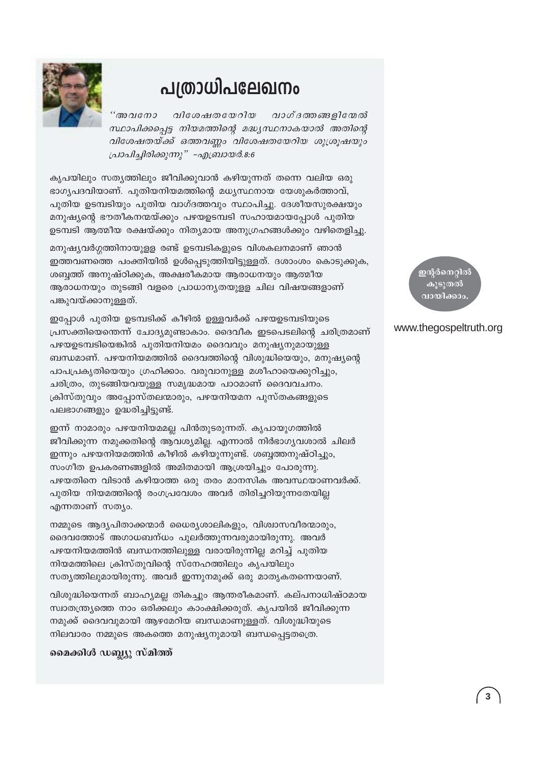

## പത്രാധിപലേഖനം

"അവനോ വിശേഷതയേറിയ വാഗ്ദത്തങ്ങളിന്മേൽ സ്ഥാപിക്കപ്പെട്ട നിയമത്തിന്റെ മദ്ധ്യസ്ഥനാകയാൽ അതിന്റെ വിശേഷതയ്ക്ക് ഒത്തവണ്ണം വിശേഷതയേറിയ ശുശ്രൂഷയും പ്രാപിച്ചിരിക്കുന്നു" -എബ്രായർ.8:6

കൃപയിലും സതൃത്തിലും ജീവിക്കുവാൻ കഴിയുന്നത് തന്നെ വലിയ ഒരു ഭാഗൃപദവിയാണ്. പുതിയനിയമത്തിന്റെ മധൃസ്ഥനായ യേശുകർത്താവ്, പുതിയ ഉടമ്പടിയും പുതിയ വാഗ്ദത്തവും സ്ഥാപിച്ചു. ദേശീയസുരക്ഷയും മനുഷ്യന്റെ ഭൗതീകനന്മയ്ക്കും പഴയഉടമ്പടി സഹായമായപ്പോൾ പുതിയ ഉടമ്പടി ആത്മീയ രക്ഷയ്ക്കും നിതൃമായ അനുഗ്രഹങ്ങൾക്കും വഴിതെളിച്ചു.

മനുഷ്യവർഗ്ഗത്തിനായുളള രണ്ട് ഉടമ്പടികളുടെ വിശകലനമാണ് ഞാൻ ഇത്തവണത്തെ പംക്തിയിൽ ഉൾപ്പെടുത്തിയിട്ടുള്ളത്. ദശാംശം കൊടുക്കുക, ശബ്ബത്ത് അനുഷ്ഠിക്കുക, അക്ഷരീകമായ ആരാധനയും ആത്മീയ ആരാധനയും തുടങ്ങി വളരെ പ്രാധാനൃതയുള്ള ചില വിഷയങ്ങളാണ് പങ്കുവയ്ക്കാനുള്ളത്.

ഇപ്പോൾ പുതിയ ഉടമ്പടിക്ക് കീഴിൽ ഉള്ളവർക്ക് പഴയഉടമ്പടിയുടെ പ്രസക്തിയെന്തെന്ന് ചോദ്യമുണ്ടാകാം. ദൈവീക ഇടപെടലിന്റെ ചരിത്രമാണ് പഴയഉടമ്പടിയെങ്കിൽ പുതിയനിയമം ദൈവവും മനുഷ്യനുമായുള്ള ബന്ധമാണ്. പഴയനിയമത്തിൽ ദൈവത്തിന്റെ വിശുദ്ധിയെയും, മനുഷ്യന്റെ പാപപ്രകൃതിയെയും ഗ്രഹിക്കാം. വരുവാനുള്ള മശീഹായെക്കുറിച്ചും, ചരിത്രം, തുടങ്ങിയവയുള്ള സമൃദ്ധമായ പാഠമാണ് ദൈവവചനം. ക്രിസ്തുവും അപ്പോസ്തലന്മാരും, പഴയനിയമന പുസ്തകങ്ങളുടെ പലഭാഗങ്ങളും ഉദ്ധരിച്ചിട്ടുണ്ട്.

ഇന്ന് നാമാരും പഴയനിയമമല്ല പിൻതുടരുന്നത്. കൃപായുഗത്തിൽ ജീവിക്കുന്ന നമുക്കതിന്റെ ആവശ്യമില്ല. എന്നാൽ നിർഭാഗ്യവശാൽ ചിലർ ഇന്നും പഴയനിയമത്തിൻ കീഴിൽ കഴിയുന്നുണ്ട്. ശബ്ബത്തനുഷ്ഠിച്ചും, സംഗീത ഉപകരണങ്ങളിൽ അമിതമായി ആശ്രയിച്ചും പോരുന്നു. പഴയതിനെ വിടാൻ കഴിയാത്ത ഒരു തരം മാനസിക അവസ്ഥയാണവർക്ക്. പുതിയ നിയമത്തിന്റെ രംഗപ്രവേശം അവർ തിരിച്ചറിയുന്നതേയില്ല എന്നതാണ് സത്യം.

നമ്മുടെ ആദ്യപിതാക്കന്മാർ ധൈര്യശാലികളും, വിശ്വാസവീരന്മാരും, ദൈവത്തോട് അഗാധബന്ധം പുലർത്തുന്നവരുമായിരുന്നു. അവർ പഴയനിയമത്തിൻ ബന്ധനത്തിലുള്ള വരായിരുന്നില്ല മറിച്ച് പുതിയ നിയമത്തിലെ ക്രിസ്തുവിന്റെ സ്നേഹത്തിലും കൃപയിലും സത്യത്തിലുമായിരുന്നു. അവർ ഇന്നുനമുക്ക് ഒരു മാതൃകതന്നെയാണ്.

വിശുദ്ധിയെന്നത് ബാഹ്യമല്ല തികച്ചും ആന്തരീകമാണ്. കല്പനാധിഷ്ഠമായ സ്വാതന്ത്ര്യത്തെ നാം ഒരിക്കലും കാംക്ഷിക്കരുത്. കൃപയിൽ ജീവിക്കുന്ന നമുക്ക് ദൈവവുമായി ആഴമേറിയ ബന്ധമാണുള്ളത്. വിശുദ്ധിയുടെ നിലവാരം നമ്മുടെ അകത്തെ മനുഷ്യനുമായി ബന്ധപ്പെട്ടതത്രെ.

മൈക്കിൾ ഡബ്ല്യു സ്മിത്ത്

<mark>ഇന്റർനെറ്റി</mark>ത് കൂടുതൽ <u>വായിക്കാം</u>

#### www.thegospeltruth.org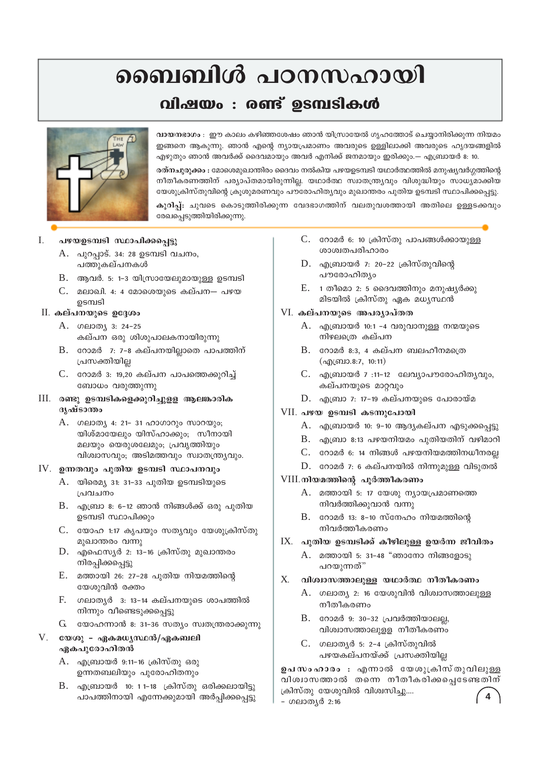## ബൈബിൾ പഠനസഹായി

## വിഷയം : രണ്ട് ഉടമ്പടികൾ



വായനഭാഗം : ഈ കാലം കഴിഞ്ഞശേഷം ഞാൻ യിസ്രായേൽ ഗൃഹത്തോട് ചെയ്യാനിരിക്കുന്ന നിയമം ഇങ്ങനെ ആകുന്നു. ഞാൻ എന്റെ ന്യായപ്രമാണം അവരുടെ ഉള്ളിലാക്കി അവരുടെ ഹൃദയങ്ങളിൽ എഴുതും ഞാൻ അവർക്ക് ദൈവമായും അവർ എനിക്ക് ജനമായും ഇരിക്കും.— എബ്രായർ 8: 10.

രത്നചുരുക്കം : മോശെമുഖാന്തിരം ദൈവം നൽകിയ പഴയഉടമ്പടി യഥാർത്ഥത്തിൽ മനുഷ്യവർഗ്ഗത്തിന്റെ നീതീകരണത്തിന് പര്യാപ്തമായിരുന്നില്ല. യഥാർത്ഥ സ്വാതന്ത്ര്യവും വിശുദ്ധിയും സാധ്യമാക്കിയ യേശുക്രിസ്തുവിന്റെ ക്രൂശുമരണവും പൗരോഹിതൃവും മുഖാന്തരം പുതിയ ഉടമ്പടി സ്ഥാപിക്കപ്പെട്ടു.

കുറിപ്പ്: ചുവടെ കൊടുത്തിരിക്കുന്ന വേദഭാഗത്തിന് വലതുവശത്തായി അതിലെ ഉള്ളടക്കവും രേഖപ്പെടുത്തിയിരിക്കുന്നു.

#### I. പഴയഉടമ്പടി സ്ഥാപിക്കപ്പെട്ടു

- A. പുറപ്പാട്. 34: 28 ഉടമ്പടി വചനം, പത്തുകല്പനകൾ
- $B.$  ആവർ. 5: 1-3 യിസ്രായേലുമായുള്ള ഉടമ്പടി
- $C.$  മലാഖി. 4: 4 മോശെയുടെ കല്പന— പഴയ ഉടമ്പടി

#### $II.$  കല്പനയുടെ ഉദ്ദേശം

- A. ഗലാത്യ 3: 24-25 കല്പന ഒരു ശിശുപാലകനായിരുന്നു
- $B.$  റോമർ 7: 7-8 കല്പനയില്ലാതെ പാപത്തിന് പ്രസക്തിയില്ല
- $C.$  റോമർ 3: 19,20 കല്പന പാപത്തെക്കുറിച്ച് ബോധം വരുത്തുന്നു
- III. രണ്ടു ഉടമ്പടികളെക്കുറിച്ചുളള ആലങ്കാരിക ദൃഷ്ടാന്തം
	- A. ഗലാത്യ 4: 21- 31 ഹാഗാറും സാറയും; യിശ്മായേലും യിസ്ഹാക്കും; സീനായി മലയും യെരുശലേമും; പ്രവൃത്തിയും വിശ്വാസവും; അടിമത്തവും സ്വാതന്ത്ര്യവും.

#### IV. ഉന്നതവും പുതിയ ഉടമ്പടി സ്ഥാപനവും

- A. യിരെമ്യ 31: 31-33 പുതിയ ഉടമ്പടിയുടെ പ്രവചനം
- B. എബ്രാ 8: 6-12 ഞാൻ നിങ്ങൾക്ക് ഒരു പുതിയ ഉടമ്പടി സ്ഥാപിക്കും
- $C.$  യോഹ 1:17 കൃപയും സത്യവും യേശുക്രിസ്തു മുഖാന്തരം വന്നു
- $D.$  എഫെസ്യർ 2: 13-16 ക്രിസ്തു മുഖാന്തരം നിരപ്പിക്കപ്പെട്ടു
- E. മത്തായി 26: 27-28 പുതിയ നിയമത്തിന്റെ യേശുവിൻ രക്തം
- $F<sub>1</sub>$ ഗലാതൃർ 3: 13-14 കല്പനയുടെ ശാപത്തിൽ നിന്നും വീണ്ടെടുക്കപ്പെട്ടു
- $G$  യോഹന്നാൻ 8: 31-36 സത്യം സ്വതന്ത്രരാക്കുന്നു

#### $V.$  യേശു – ഏകമധൃസ്ഥൻ/ഏകബലി ഏകപുരോഹിതൻ

- A. എബ്രായർ 9:11-16 ക്രിസ്തു ഒരു ഉന്നതബലിയും പുരോഹിതനും
- B. എബ്രായർ 10: 1 1-18 ക്രിസ്തു ഒരിക്കലായിട്ടു പാപത്തിനായി എന്നേക്കുമായി അർപ്പിക്കപ്പെട്ടു
- C. റോമർ 6: 10 ക്രിസ്തു പാപങ്ങൾക്കായുള്ള ശാശ്വതപരിഹാരം
- $D.$  എബ്രായർ 7: 20-22 ക്രിസ്തുവിന്റെ പൗരോഹിത്യം
- $E.$  1 തീമൊ 2: 5 ദൈവത്തിനും മനുഷ്യർക്കു മിടയിൽ ക്രിസ്തു ഏക മധ്യസ്ഥൻ

#### VI. കല്പനയുടെ അപര്യാപ്തത

- $A.$  എബ്രായർ 10:1 -4 വരുവാനുള്ള നന്മയുടെ നിഴലത്രെ കല്പന
- $B.$  റോമർ 8:3, 4 കല്പന ബലഹീനമത്രെ  $($ ng) $($ 6010.8:7, 10:11)
- $C.$  എബ്രായർ 7 :11-12 ലേവ്യാപൗരോഹിത്യവും, കല്പനയുടെ മാറവും
- $D.$  എബ്രാ 7: 17-19 കല്പനയുടെ പോരായ്മ

#### VII. പഴയ ഉടമ്പടി കടന്നുപോയി

- A. എബ്രായർ 10: 9-10 ആദൃകല്പന എടുക്കപ്പെട്ടു
- $B.$  എബ്രാ 8:13 പഴയനിയമം പുതിയതിന് വഴിമാറി
- $C.$  റോമർ 6: 14 നിങ്ങൾ പഴയനിയമത്തിനധീനരല്ല
- $D.$  റോമർ 7: 6 കല്പനയിൽ നിന്നുമുള്ള വിടുതൽ

#### VIII. നിയമത്തിന്റെ പൂർത്തീകരണം

- A. മത്തായി 5: 17 യേശു ന്യായപ്രമാണത്തെ നിവർത്തിക്കുവാൻ വന്നു
- B. റോമർ 13: 8-10 സ്നേഹം നിയമത്തിന്റെ നിവർത്തീകരണം

#### $IX.$  പുതിയ ഉടമ്പടിക്ക് കീഴിലുള്ള ഉയർന്ന ജീവിതം

A. മത്തായി 5: 31-48 "ഞാനോ നിങ്ങളോടു പറയുന്നത്"

#### $X$ . വിശ്വാസത്താലുള്ള യഥാർത്ഥ നീതീകരണം

- A. ഗലാത്യ 2: 16 യേശുവിൻ വിശ്വാസത്താലുള്ള നീതീകരണം
- B. റോമർ 9: 30-32 പ്രവർത്തിയാലല്ല, വിശ്വാസത്താലുളള നീതീകരണം
- C. ഗലാതൃർ 5: 2-4 ക്രിസ്തുവിൽ പഴയകല്പനയ്ക്ക് പ്രസക്തിയില്ല

ഉപസംഹാരം : എന്നാൽ യേശുക്രിസ്തുവിലുള്ള വിശ്വാസത്താൽ തന്നെ നീതീകരിക്കപ്പെടേണ്ടതിന് ക്രിസ്തു യേശുവിൽ വിശ്വസിച്ചു....

- ഗലാതൃർ 2:16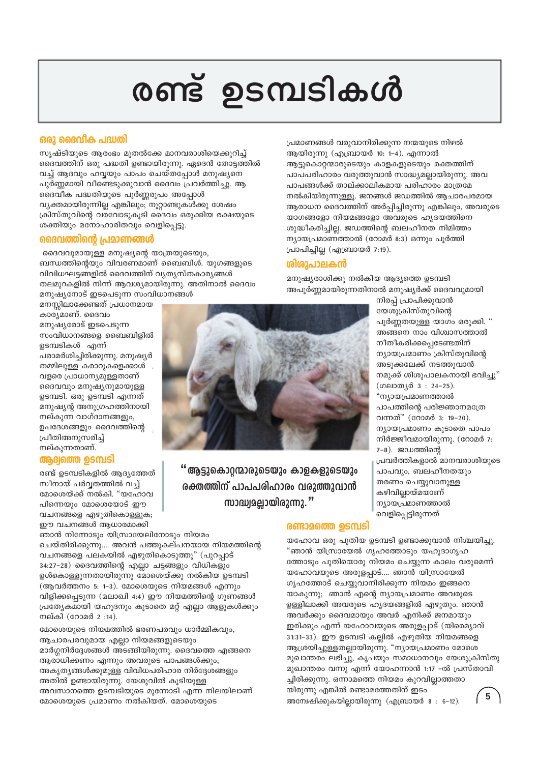# രണ്ട് ഉടമ്പടികൾ

#### ഒരു ദൈവീക പദ്ധതി

സൃഷ്ടിയുടെ ആരംഭം മുതൽക്കേ മാനവരാശിയെക്കുറിച്ച് ദൈവത്തിന് ഒരു പദ്ധതി ഉണ്ടായിരുന്നു. ഏദെൻ തോട്ടത്തിൽ വച്ച് ആദവും ഹവ്വയും പാപം ചെയ്തപ്പോൾ മനുഷ്യനെ പുർണ്ണമായി വീണ്ടെടുക്കുവാൻ ദൈവം പ്രവർത്തിച്ചു. ആ ദൈവിക പദ്ധതിയുടെ പൂർണ്ണരൂപം അപ്പോൾ വ്യക്തമായിരുന്നില്ല എങ്കിലും; നൂറ്റാണ്ടുകൾക്കു ശേഷം ക്രിസ്തുവിന്റെ വരവോടുകൂടി ദൈവം ഒരുക്കിയ രക്ഷയുടെ ശക്തിയും മനോഹാരിതവും വെളിപ്പെട്ടു.

#### ദൈവത്തിന്റെ പ്രമാണങ്ങൾ

ദൈവവുമായുള്ള മനുഷ്യന്റെ യാത്രയുടെയും, ബന്ധത്തിന്റെയും വിവരണമാണ് ബൈബിൾ. യുഗങ്ങളുടെ വിവിധഘട്ടങ്ങളിൽ ദൈവത്തിന് വ്യത്യസ്തകാര്യങ്ങൾ തലമുറകളിൽ നിന്ന് ആവശ്യമായിരുന്നു. അതിനാൽ ദൈവം മനുഷ്യനോട് ഇടപെടുന്ന സംവിധാനങ്ങൾ

മനസ്സിലാക്കേണ്ടത് പ്രധാനമായ കാര്യമാണ്. ദൈവം മനുഷ്യരോട് ഇടപെടുന്ന സംവിധാനങ്ങളെ ബൈബിളിൽ ഉടമ്പടികൾ എന്ന് പരാമർശിച്ചിരിക്കുന്നു. മനുഷ്യർ തമ്മിലുള്ള കരാറുകളെക്കാൾ വളരെ പ്രാധാന്യമുള്ളതാണ് ദൈവവും മനുഷ്യനുമായുള്ള ഉടമ്പടി. ഒരു ഉടമ്പടി എന്നത് മനുഷ്യൻ അനുഗ്രഹത്തിനായി നല്കുന്ന വാഗ്ദാനങ്ങളും, ഉപദേശങ്ങളും ദൈവത്തിന്റെ പ്രീതിഅനുസരിച്ച് നല്കുന്നതാണ്.

#### ആദ്വത്തെ ഉടമ്പടി

രണ്ട് ഉടമ്പടികളിൽ ആദ്യത്തേത് സീനായ് പർവ്വതത്തിൽ വച്ച് മോശെയ്ക്ക് നൽകി. "യഹോവ പിന്നെയും മോശെയോട് ഈ വചനങ്ങളെ എഴുതികൊള്ളുക; ഈ വചനങ്ങൾ ആധാരമാക്കി

ഞാൻ നിന്നോടും യിസ്രായേലിനോടും നിയമം ചെയ്തിരിക്കുന്നു.... അവൻ പത്തുകല്പനയായ നിയമത്തിന്റെ വചനങ്ങളെ പലകയിൽ എഴുതികൊടുത്തൂ" (പുറപ്പാട് 34:27–28) ദൈവത്തിന്റെ എല്ലാ ചട്ടങ്ങളും വിധികളും ഉൾകൊള്ളുന്നതായിരുന്നു മോശെയ്ക്കു നൽകിയ ഉടമ്പടി (ആവർത്തനം 5: 1-3). മോശെയുടെ നിയമങ്ങൾ എന്നും വിളിക്കപ്പെടുന്ന (മലാഖി 4:4) ഈ നിയമത്തിന്റെ ഗുണങ്ങൾ പ്രത്യേകമായി യഹൂദനും കൂടാതെ മറ്റ് എല്ലാ ആളുകൾക്കും നല്കി (റോമർ 2:14).

മോശെയുടെ നിയമത്തിൽ ഭരണപരവും ധാർമ്മികവും, ആചാരപരവുമായ എല്ലാ നിയമങ്ങളുടെയും മാർഗ്ഗനിർദ്ദേശങ്ങൾ അടങ്ങിയിരുന്നു. ദൈവത്തെ എങ്ങനെ ആരാധിക്കണം എന്നും അവരുടെ പാപങ്ങൾക്കും, അകൃതൃങ്ങൾക്കുമുള്ള വിവിധപരിഹാര നിർദ്ദേശങ്ങളും അതിൽ ഉണ്ടായിരുന്നു. യേശുവിൽ കുടിയുള്ള അവസാനത്തെ ഉടമ്പടിയുടെ മുന്നോടി എന്ന നിലയിലാണ് മോശെയുടെ പ്രമാണം നൽകിയത്. മോശെയുടെ

#### രണ്ടാമത്തെ ഉടമ്പടി

യഹോവ ഒരു പുതിയ ഉടമ്പടി ഉണ്ടാക്കുവാൻ നിശ്ചയിച്ചു. "ഞാൻ യിസ്രായേൽ ഗൃഹത്തോടും യഹുദാഗൃഹ ത്തോടും പുതിയൊരു നിയമം ചെയ്യുന്ന കാലം വരുമെന്ന് യഹോവയുടെ അരുളപ്പാട്.... ഞാൻ യിസ്രായേൽ ഗൃഹത്തോട് ചെയ്യുവാനിരിക്കുന്ന നിയമം ഇങ്ങനെ യാകുന്നു; ഞാൻ എന്റെ ന്യായപ്രമാണം അവരുടെ ഉള്ളിലാക്കി അവരുടെ ഹൃദയങ്ങളിൽ എഴുതും. ഞാൻ അവർക്കും ദൈവമായും അവർ എനിക്ക് ജനമായും ഇരിക്കും എന്ന് യഹോവയുടെ അരുളപ്പാട് (യിരെമ്യാവ് 31:31-33). ഈ ഉടമ്പടി കല്ലിൽ എഴുതിയ നിയമങ്ങളെ ആശ്രയിച്ചുള്ളതല്ലായിരുന്നു. "ന്യായപ്രമാണം മോശെ മുഖാന്തരം ലഭിച്ചു, കൃപയും സമാധാനവും യേശുക്രിസ്തു മുഖാന്തരം വന്നു എന്ന് യോഹന്നാൻ 1:17 -ൽ പ്രസ്താവി ച്ചിരിക്കുന്നു. ഒന്നാമത്തെ നിയമം കുറവില്ലാത്തതാ യിരുന്നു എങ്കിൽ രണ്ടാമത്തേതിന് ഇടം 5 അന്വേഷിക്കുകയില്ലായിരുന്നു (എബ്രായർ 8 : 6-12).

"ആട്ടുകൊറ്റന്മാരുടെയും കാളകളുടെയും രക്തത്തിന് പാപപരിഹാരം വരുത്തുവാൻ സാദ്ധ്വമലായിരുന്നു. "

നിരപ്പ് പ്രാപിക്കുവാൻ യേശുക്രിസ്തുവിന്റെ പൂർണ്ണതയുള്ള യാഗം ഒരുക്കി. " അങ്ങനെ നാം വിശ്വാസത്താൽ നീതീകരിക്കപ്പെടേണ്ടതിന് ന്ദ്യായപ്രമാണം ക്രിസ്തുവിന്റെ അടുക്കലേക്ക് നടത്തുവാൻ നമുക്ക് ശിശുപാലകനായി ഭവിച്ചു" (ഗലാതൃർ 3: 24-25). "ന്യായപ്രമാണത്താൽ പാപത്തിന്റെ പരിജ്ഞാനമത്രേ വന്നത്" (റോമർ 3: 19-20). ന്യായപ്രമാണം കൂടാതെ പാപം നിർജ്ജീവമായിരുന്നു. (റോമർ 7: 7-8). ജഡത്തിന്റെ പ്രവർത്തികളാൽ മാനവരാശിയുടെ പാപവും, ബലഹീനതയും തരണം ചെയ്യുവാനുള്ള കഴിവില്ലായ്മയാണ് ന്യായപ്രമാണത്താൽ വെളിപ്പെട്ടിരുന്നത്

മനുഷ്യരാശിക്കു നൽകിയ ആദ്യത്തെ ഉടമ്പടി അപൂർണ്ണമായിരുന്നതിനാൽ മനുഷ്യർക്ക് ദൈവവുമായി

#### <u> ശിശാപാലകൻ</u>

പ്രമാണങ്ങൾ വരുവാനിരിക്കുന്ന നന്മയുടെ നിഴൽ ആയിരുന്നു (എബ്രായർ 10: 1-4). എന്നാൽ ആട്ടുകൊറ്റന്മാരുടെയും കാളകളുടെയും രക്തത്തിന് പാപപരിഹാരം വരുത്തുവാൻ സാദ്ധ്യമല്ലായിരുന്നു. അവ പാപങ്ങൾക്ക് താല്ക്കാലികമായ പരിഹാരം മാത്രമേ നൽകിയിരുന്നുള്ളൂ. ജനങ്ങൾ ജഡത്തിൽ ആചാരപരമായ ആരാധന ദൈവത്തിന് അർപ്പിച്ചിരുന്നു എങ്കിലും, അവരുടെ യാഗങ്ങളോ നിയമങ്ങളോ അവരുടെ ഹൃദയത്തിനെ ശുദ്ധീകരിച്ചില്ല. ജഡത്തിന്റെ ബലഹീനത നിമിത്തം ന്യായപ്രമാണത്താൽ (റോമർ  $8:3$ ) ഒന്നും പൂർത്തി പ്രാപിച്ചില്ല (എബ്രായർ 7:19).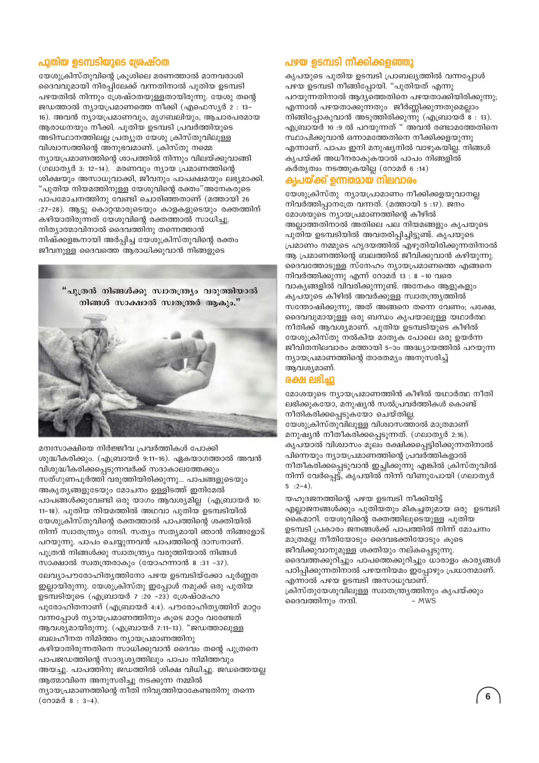#### പുതിയ ഉടമ്പടിയുടെ ശ്രേഷ്ഠത

യേശുക്രിസ്തുവിന്റെ ക്രുശിലെ മരണത്താൽ മാനവരാശി ദൈവവുമായി നിരപ്പിലേക്ക് വന്നതിനാൽ പുതിയ ഉടമ്പടി പഴയതിൽ നിന്നും ശേഷ്ഠതയുള്ളതായിരുന്നു. യേശു തന്റെ ജഡത്താൽ ന്യായപ്രമാണത്തെ നീക്കി (എഫെസ്യർ 2 : 13-16). അവൻ ന്യായപ്രമാണവും, മൃഗബലിയും, ആചാരപരമായ ആരാധനയും നീക്കി. പുതിയ ഉടമ്പടി പ്രവർത്തിയുടെ അടിസ്ഥാനത്തിലല്ല പ്രത്യുത യേശു ക്രിസ്തുവിലുള്ള വിശ്വാസത്തിന്റെ അനുഭവമാണ്. ക്രിസ്തു നമ്മെ ന്യായപ്രമാണത്തിന്റെ ശാപത്തിൽ നിന്നും വിലയ്ക്കുവാങ്ങി (ഗലാതൃർ 3: 12-14). മരണവും ന്യായ പ്രമാണത്തിന്റെ ശിക്ഷയും അസാധുവാക്കി, ജീവനും പാപക്ഷമയും ലഭ്യമാക്കി. "പുതിയ നിയമത്തിനുള്ള യേശുവിന്റെ രക്തം"അനേകരുടെ പാപമോചനത്തിനു വേണ്ടി ചൊരിഞ്ഞതാണ് (മത്തായി 26 :27-28). ആട്ടു കൊറ്റന്മാരുടെയും കാളകളുടെയും രക്തത്തിന് കഴിയാതിരുന്നത് യേശുവിന്റെ രക്തത്താൽ സാധിച്ചു. നിത്യാത്മാവിനാൽ ദൈവത്തിനു തന്നെത്താൻ നിഷ്ക്കളങ്കനായി അർപ്പിച്ച യേശുക്രിസ്തുവിന്റെ രക്തം ജീവനുള്ള ദൈവത്തെ ആരാധിക്കുവാൻ നിങ്ങളുടെ

> "പുത്രൻ നിങ്ങൾക്കു സ്വാതന്ത്ര്യം വരുത്തിയാൽ നിങ്ങൾ സാക്ഷാൽ സ്വതന്ത്രർ ആകും."



മനഃസാക്ഷിയെ നിർജ്ജീവ പ്രവർത്തികൾ പോക്കി ശുദ്ധീകരിക്കും. (എബ്രായർ 9:11-16). ഏകയാഗത്താൽ അവൻ വിശുദ്ധീകരിക്കപ്പെടുന്നവർക്ക് സദാകാലത്തേക്കും സത്ഗുണപൂർത്തി വരുത്തിയിരിക്കുന്നു... പാപങ്ങളുടെയും അകൃത്യങ്ങളുടേയും മോചനം ഉള്ളിടത്ത് ഇനിമേൽ പാപങ്ങൾക്കുവേണ്ടി ഒരു യാഗം ആവശ്യമില്ല (എബ്രായർ 10: 11-18). പുതിയ നിയമത്തിൽ അഥവാ പുതിയ ഉടമ്പടിയിൽ യേശുക്രിസ്തുവിന്റെ രക്തത്താൽ പാപത്തിന്റെ ശക്തിയിൽ നിന്ന് സ്വാതന്ത്ര്യം നേടി. സത്യം സത്യമായി ഞാൻ നിങ്ങളോട് പറയുന്നു. പാപം ചെയ്യുന്നവൻ പാപത്തിന്റെ ദാസനാണ്. പുത്രൻ നിങ്ങൾക്കു സ്വാതന്ത്ര്യം വരുത്തിയാൽ നിങ്ങൾ സാക്ഷാൽ സ്വതന്ത്രരാകും (യോഹന്നാൻ 8:31-37). ലേവ്യാപൗരോഹിത്യത്തിനോ പഴയ ഉടമ്പടിയ്ക്കോ പൂർണ്ണത ഇല്ലായിരുന്നു. യേശുക്രിസ്തു ഇപ്പോൾ നമുക്ക് ഒരു പുതിയ ഉടമ്പടിയുടെ (എബ്രായർ 7 :20 -23) ശ്രേഷ്ഠമഹാ പുരോഹിതനാണ് (എബ്രായർ 4:4). പൗരോഹിതൃത്തിന് മാറ്റം വന്നപ്പോൾ ന്യായപ്രമാണത്തിനും കൂടെ മാറ്റം വരേണ്ടത് ആവശ്യമായിരുന്നു. (എബ്രായർ 7:11-13). "ജഡത്താലുള്ള ബലഹീനത നിമിത്തം ന്യായപ്രമാണത്തിനു കഴിയാതിരുന്നതിനെ സാധിക്കുവാൻ ദൈവം തന്റെ പുത്രനെ പാപജഡത്തിന്റെ സാദൃശൃത്തിലും പാപം നിമിത്തവും അയച്ചു. പാപത്തിനു ജഡത്തിൽ ശിക്ഷ വിധിച്ചു. ജഡത്തെയല്ല ആത്മാവിനെ അനുസരിച്ചു നടക്കുന്ന നമ്മിൽ ന്യായപ്രമാണത്തിന്റെ നീതി നിവൃത്തിയാകേണ്ടതിനു തന്നെ (റോമർ 8: 3-4).

#### പഴയ ഉടമ്പടി നീക്കിക്കളഞ്ഞു

ക്യപയുടെ പുതിയ ഉടമ്പടി പ്രാബല്യത്തിൽ വന്നപോൾ പഴയ ഉടമ്പടി നീങ്ങിപ്പോയി. "പുതിയത് എന്നു പറയുന്നതിനാൽ ആദ്യത്തെതിനെ പഴയതാക്കിയിരിക്കുന്നു; എന്നാൽ പഴയതാക്കുന്നതും ജീർണ്ണിക്കുന്നതുമെല്ലാം നിങ്ങിപ്പോകുവാൻ അടുത്തിരിക്കുന്നു (എബ്രായർ ്8 : 13). .<br>എബ്രായർ 10 :9 ൽ പറയുന്നത് " അവൻ രണ്ടാമത്തേതിനെ സ്ഥാപിക്കുവാൻ ഒന്നാമത്തേതിനെ നീക്കിക്കളയുന്നു എന്നാണ്. പാപം ഇനി മനുഷ്യനിൽ വാഴുകയില്ല. നിങ്ങൾ കൃപയ്ക്ക് അധീനരാകുകയാൽ പാപം നിങ്ങളിൽ കർതൃത്വം നടത്തുകയില്ല (റോമർ 6 :14)

#### ക്വപയ്ക്ക് ഉന്നതമായ നിലവാരം

യേശുക്രിസ്തു ന്യായപ്രാമാണം നീക്കിക്കളയുവാനല്ല നിവർത്തിപാനത്രേ വന്നത്. (മത്തായി 5 :17). ജനം മോശയുടെ ന്യായപ്രമാണത്തിന്റെ കീഴിൽ അല്ലാത്തതിനാൽ അതിലെ പല നിയമങ്ങളും കൃപയുടെ പുതിയ ഉടമ്പടിയിൽ അവതരിപ്പിച്ചിട്ടുണ്ട്. കൃപയുടെ പ്രമാണം നമ്മുടെ ഹൃദയത്തിൽ എഴുതിയിരിക്കുന്നതിനാൽ ആ പ്രമാണത്തിന്റെ ബലത്തിൽ ജീവിക്കുവാൻ കഴിയുന്നു. ദൈവത്തോടുള്ള സ്നേഹം ന്യായപ്രമാണത്തെ എങ്ങനെ നിവർത്തിക്കുന്നു എന്ന് റോമർ 13 : 8 –10 വരെ വാകൃങ്ങളിൽ വിവരിക്കുന്നുണ്ട്. അനേകം ആളുകളും കൃപയുടെ കീഴിൽ അവർക്കുള്ള സ്വാതന്ത്ര്യത്തിൽ സന്തോഷിക്കുന്നു, അത് അങ്ങനെ തന്നെ വേണം; പക്ഷേ, ദൈവവുമായുള്ള ഒരു ബന്ധം കൃപയാലുള്ള യഥാർത്ഥ നീതിക്ക് ആവശ്യമാണ്. പുതിയ ഉടമ്പടിയുടെ കീഴിൽ യേശുക്രിസ്തു നൽകിയ മാതൃക പോലെ ഒരു ഉയർന്ന ജീവിതനിലവാരം മത്തായി 5-ാം അദ്ധ്യായത്തിൽ പറയുന്ന ന്യായപ്രമാണത്തിന്റെ താരതമ്യം അനുസരിച്ച് ആവശ്യമാണ്.

#### ശ്ഷ ലഭിച്ചു

മോശയുടെ ന്യായപ്രമാണത്തിൻ കീഴിൽ യഥാർത്ഥ നീതി ലഭിക്കുകയോ, മനുഷ്യൻ സൽപ്രവർത്തികൾ കൊണ്ട് നീതികരിക്കപ്പെടുകയോ ചെയ്തില്ല. യേശുക്രിസ്തുവിലുള്ള വിശ്വാസത്താൽ മാത്രമാണ് മനുഷ്യൻ നീതീകരിക്കപ്പെടുന്നത്. (ഗലാതൃർ 2:16). കൃപയാൽ വിശ്വാസം മുലം രക്ഷിക്കപ്പെട്ടിരിക്കുന്നതിനാൽ പിന്നെയും ന്യായപ്രമാണത്തിന്റെ പ്രവർത്തികളാൽ നീതീകരിക്കപ്പെടുവാൻ ഇച്ഛിക്കുന്നു എങ്കിൽ ക്രിസ്തുവിൽ നിന്ന് വേർപ്പെട്ട്, കൃപയിൽ നിന്ന് വീണുപോയി (ഗലാതൃർ  $5$  : 2-4).

യഹൂദജനത്തിന്റെ പഴയ ഉടമ്പടി നീക്കിയിട്ട് എല്ലാജനങ്ങൾക്കും പുതിയതും മികച്ചതുമായ ഒരു ഉടമ്പടി കൈമാറി. യേശുവിന്റെ രക്തത്തിലൂടെയുള്ള പുതിയ ഉടമ്പടി പ്രകാരം ജനങ്ങൾക്ക് പാപത്തിൽ നിന്ന് മോചനം മാത്രമല്ല നീതിയോടും ദൈവഭക്തിയോടും കുടെ ജീവിക്കുവാനുമുള്ള ശക്തിയും നല്കപ്പെടുന്നു. ദൈവത്തക്കുറിച്ചും പാപത്തെക്കുറിച്ചും ധാരാളം കാരൃങ്ങൾ പഠിപ്പിക്കുന്നതിനാൽ പഴയനിയമം ഇപ്പോഴും പ്രധാനമാണ്. എന്നാൽ പഴയ ഉടമ്പടി അസാധുവാണ്. ക്രിസ്തുയേശുവിലുള്ള സ്വാതന്ത്ര്യത്തിനും കൃപയ്ക്കും ദൈവത്തിനും നന്ദി.  $-MWS$ 

 $6\phantom{a}$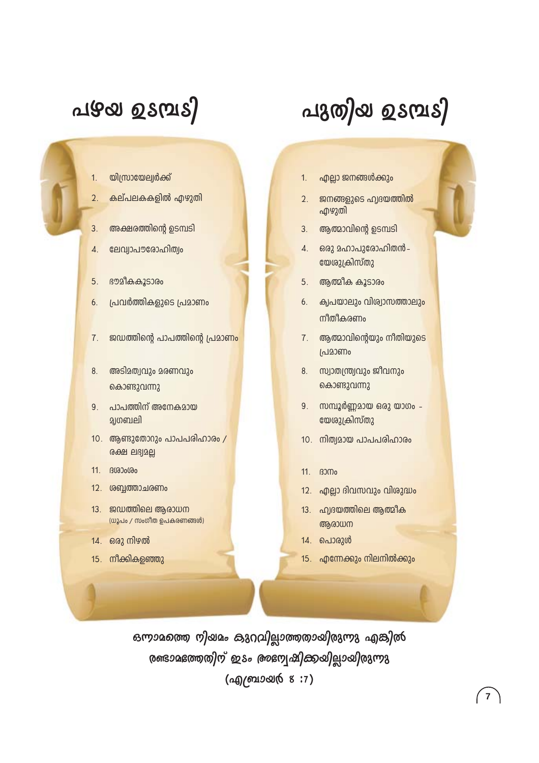# <u>പുക്കു ഉടവ്പട്ടി</u>

#### യിസ്രായേല്വർക്ക്  $1.$

- കല്പലകകളിൽ എഴുതി  $\mathcal{D}_{\alpha}$
- അക്ഷരത്തിന്റെ ഉടമ്പടി  $3.$
- ലേവ്വാപൗരോഹിത്വം  $\overline{4}$ .
- ഭൗമീകകൂടാരം 5.
- പ്രവർത്തികളുടെ പ്രമാണം 6.
- ജഡത്തിന്റെ പാപത്തിന്റെ പ്രമാണം 7.
- അടിമത്വവും മരണവും 8. കൊണ്ടുവന്നു
- 9. പാപത്തിന് അനേകമായ துறையி
- 10. ആണ്ടുതോറും പാപപരിഹാരം /  $0.699$  elß $0.29$
- 11. **B** (@00 (@0
- 12. ശബ്ബത്താചരണം
- 13. ജഡത്തിലെ ആരാധന (ധൂപം / സംഗീത ഉപകരണങ്ങൾ)
- 14. ഒരു നിഴൽ
- 15. നീക്കികളഞ്ഞു
- എല്ലാ ജനങ്ങൾക്കും  $1.$
- ജനങ്ങളുടെ ഹ്വദയത്തിൽ  $2<sup>1</sup>$ എഴുതി

പുതിയ ഉടമ്പടി

- ആത്മാവിന്റെ ഉടമ്പടി  $3.$
- ഒരു മഹാപുരോഹിതൻ 4. യേശുക്രിസ്തു
- $5<sub>1</sub>$ ആത്മീക കൂടാരം
- ക്വപയാലും വിശ്വാസത്താലും 6. നീതീകരണം
- ആത്മാവിന്റെയും നിതിയുടെ 7. പ്രമാണം
- 8. സ്വാതന്ത്ര്യവും ജീവനും കൊണ്ടുവന്നു
- സമ്പൂർണ്ണമായ ഒരു യാഗം - $9<sub>1</sub>$ യേശുക്രിസ്തു
- 10. നിത്വമായ പാപപരിഹാരം
- $11.$   $B300<sub>0</sub>$
- 12. എല്ലാ ദിവസവും വിശുദ്ധം
- 13. ഹ്വദയത്തിലെ ആത്മീക ആരാധന
- 14. പൊരുൾ
- 15. എന്നേക്കും നിലനിൽക്കും

 $\overline{7}$ 

ഒന്നാമത്തെ നിയമം കുറവില്ലാത്തതായിരുന്നു എങ്കിൽ രണ്ടാമഭത്തതിന് ഇടം അസ്വേഷിക്കയില്ലായിരുന്നു (എ/ബായ്യ 8:7)